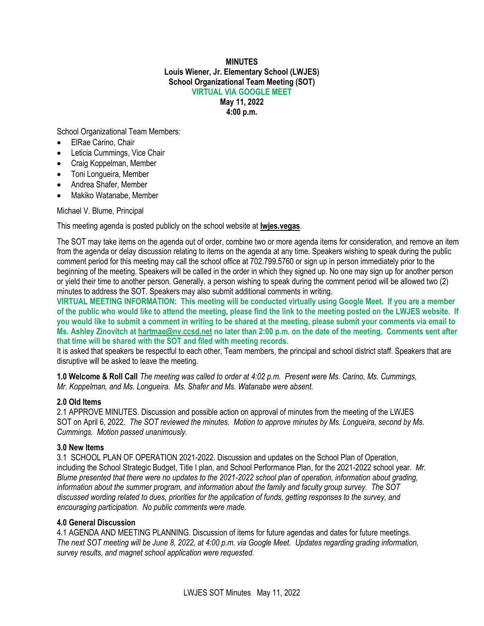### **MINUTES Louis Wiener, Jr. Elementary School (LWJES) School Organizational Team Meeting (SOT) VIRTUAL VIA GOOGLE MEET May 11, 2022**

**4:00 p.m.**

School Organizational Team Members:

- ElRae Carino, Chair
- Leticia Cummings, Vice Chair
- Craig Koppelman, Member
- Toni Longueira, Member
- Andrea Shafer, Member
- Makiko Watanabe, Member

# Michael V. Blume, Principal

This meeting agenda is posted publicly on the school website at **lwjes.vegas**.

The SOT may take items on the agenda out of order, combine two or more agenda items for consideration, and remove an item from the agenda or delay discussion relating to items on the agenda at any time. Speakers wishing to speak during the public comment period for this meeting may call the school office at 702.799.5760 or sign up in person immediately prior to the beginning of the meeting. Speakers will be called in the order in which they signed up. No one may sign up for another person or yield their time to another person. Generally, a person wishing to speak during the comment period will be allowed two (2) minutes to address the SOT. Speakers may also submit additional comments in writing.

**VIRTUAL MEETING INFORMATION: This meeting will be conducted virtually using Google Meet. If you are a member of the public who would like to attend the meeting, please find the link to the meeting posted on the LWJES website. If you would like to submit a comment in writing to be shared at the meeting, please submit your comments via email to Ms. Ashley Zinovitch at [hartmae@nv.ccsd.net](mailto:hartmae@nv.ccsd.net) no later than 2:00 p.m. on the date of the meeting. Comments sent after that time will be shared with the SOT and filed with meeting records.**

It is asked that speakers be respectful to each other, Team members, the principal and school district staff. Speakers that are disruptive will be asked to leave the meeting.

**1.0 Welcome & Roll Call** *The meeting was called to order at 4:02 p.m. Present were Ms. Carino, Ms. Cummings, Mr. Koppelman, and Ms. Longueira. Ms. Shafer and Ms. Watanabe were absent.*

# **2.0 Old Items**

2.1 APPROVE MINUTES. Discussion and possible action on approval of minutes from the meeting of the LWJES SOT on April 6, 2022. *The SOT reviewed the minutes. Motion to approve minutes by Ms. Longueira, second by Ms. Cummings. Motion passed unanimously.*

# **3.0 New Items**

3.1 SCHOOL PLAN OF OPERATION 2021-2022. Discussion and updates on the School Plan of Operation, including the School Strategic Budget, Title I plan, and School Performance Plan, for the 2021-2022 school year. *Mr. Blume presented that there were no updates to the 2021-2022 school plan of operation, information about grading, information about the summer program, and information about the family and faculty group survey. The SOT discussed wording related to dues, priorities for the application of funds, getting responses to the survey, and encouraging participation. No public comments were made.*

### **4.0 General Discussion**

4.1 AGENDA AND MEETING PLANNING. Discussion of items for future agendas and dates for future meetings. *The next SOT meeting will be June 8, 2022, at 4:00 p.m. via Google Meet. Updates regarding grading information, survey results, and magnet school application were requested.*